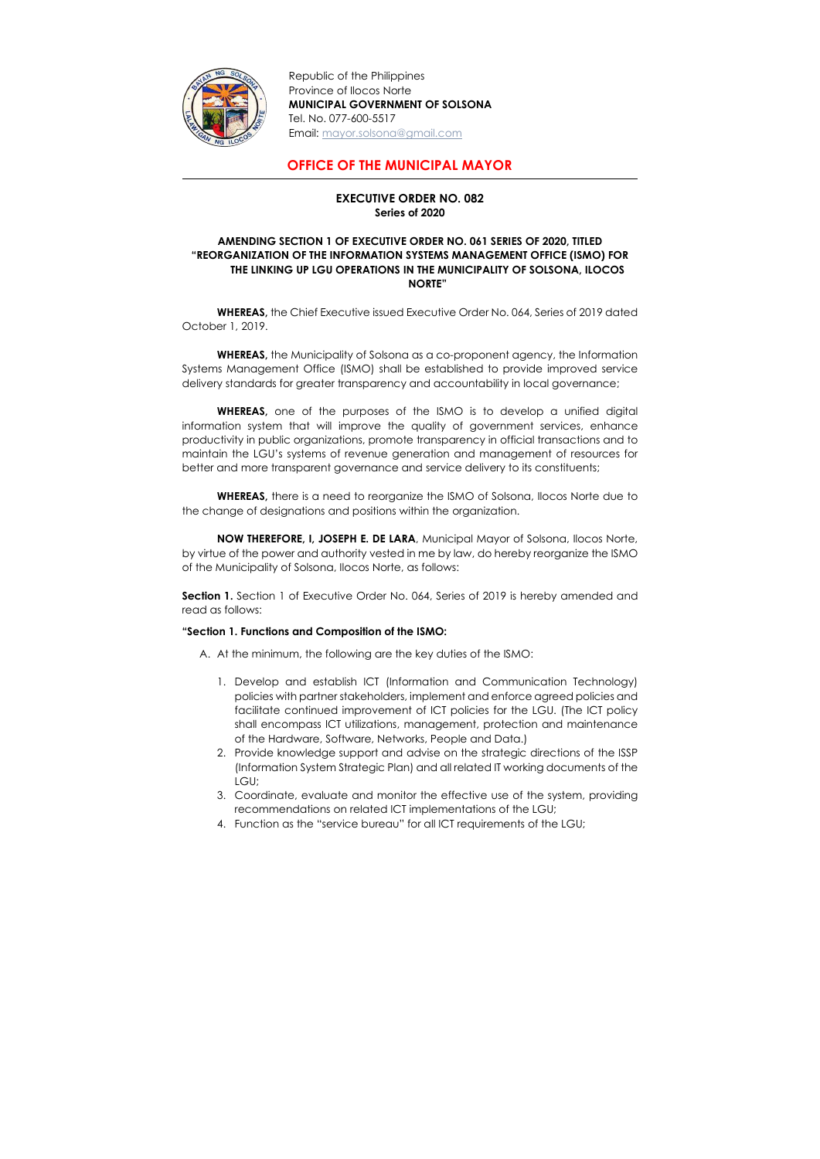

Republic of the Philippines Province of Ilocos Norte MUNICIPAL GOVERNMENT OF SOLSONA Tel. No. 077-600-5517 Email: mayor.solsona@gmail.com

## OFFICE OF THE MUNICIPAL MAYOR

## EXECUTIVE ORDER NO. 082 Series of 2020

## AMENDING SECTION 1 OF EXECUTIVE ORDER NO. 061 SERIES OF 2020, TITLED "REORGANIZATION OF THE INFORMATION SYSTEMS MANAGEMENT OFFICE (ISMO) FOR THE LINKING UP LGU OPERATIONS IN THE MUNICIPALITY OF SOLSONA, ILOCOS NORTE"

WHEREAS, the Chief Executive issued Executive Order No. 064, Series of 2019 dated October 1, 2019.

WHEREAS, the Municipality of Solsona as a co-proponent agency, the Information Systems Management Office (ISMO) shall be established to provide improved service delivery standards for greater transparency and accountability in local governance;

Section 1. Section 1 of Executive Order No. 064, Series of 2019 is hereby amended and read as follows:

WHEREAS, one of the purposes of the ISMO is to develop a unified digital information system that will improve the quality of government services, enhance productivity in public organizations, promote transparency in official transactions and to maintain the LGU's systems of revenue generation and management of resources for better and more transparent governance and service delivery to its constituents;

WHEREAS, there is a need to reorganize the ISMO of Solsona, Ilocos Norte due to the change of designations and positions within the organization.

NOW THEREFORE, I, JOSEPH E. DE LARA, Municipal Mayor of Solsona, Ilocos Norte, by virtue of the power and authority vested in me by law, do hereby reorganize the ISMO of the Municipality of Solsona, Ilocos Norte, as follows:

## "Section 1. Functions and Composition of the ISMO:

A. At the minimum, the following are the key duties of the ISMO:

- 1. Develop and establish ICT (Information and Communication Technology) policies with partner stakeholders, implement and enforce agreed policies and facilitate continued improvement of ICT policies for the LGU. (The ICT policy shall encompass ICT utilizations, management, protection and maintenance of the Hardware, Software, Networks, People and Data.)
- 2. Provide knowledge support and advise on the strategic directions of the ISSP (Information System Strategic Plan) and all related IT working documents of the LGU;
- 3. Coordinate, evaluate and monitor the effective use of the system, providing recommendations on related ICT implementations of the LGU;
- 4. Function as the "service bureau" for all ICT requirements of the LGU;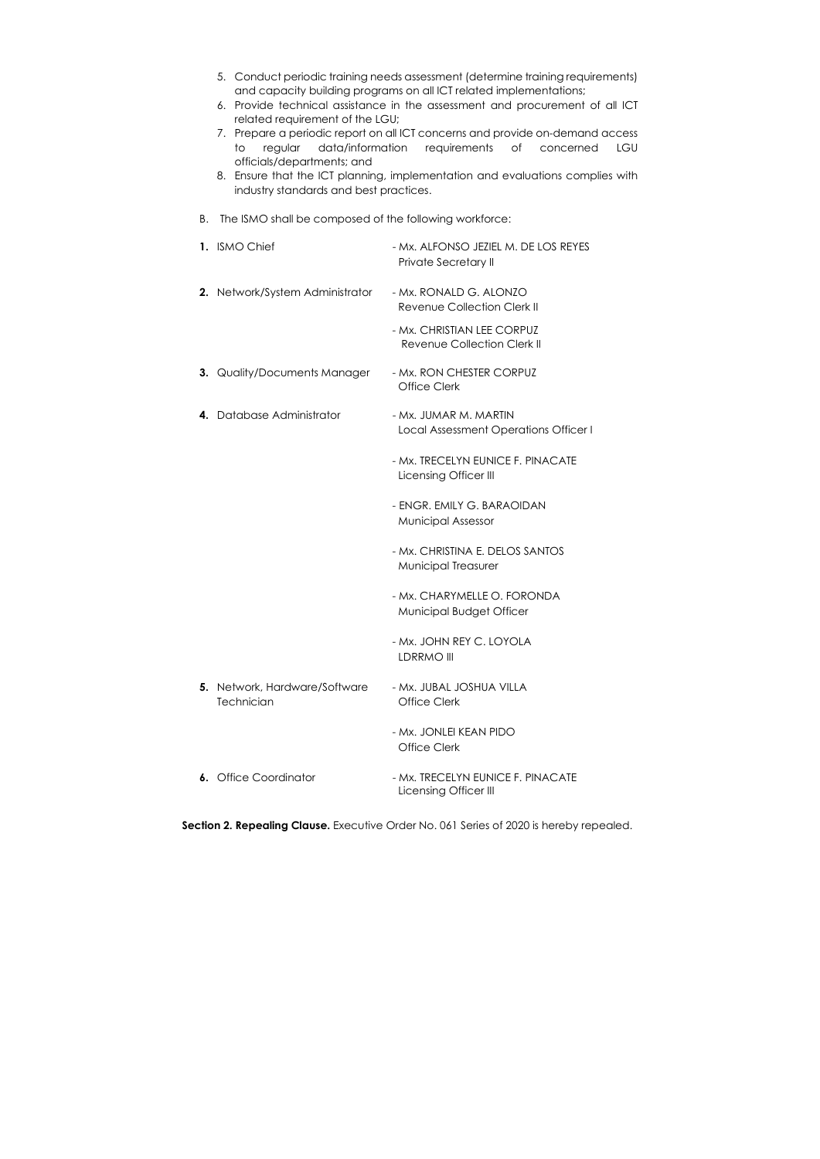| 5. Conduct periodic training needs assessment (determine training requirements)<br>and capacity building programs on all ICT related implementations;<br>6. Provide technical assistance in the assessment and procurement of all ICT<br>related requirement of the LGU;<br>7. Prepare a periodic report on all ICT concerns and provide on-demand access<br>data/information requirements<br>regular<br>$\circ$ of<br>to<br>LGU<br>concerned<br>officials/departments; and<br>8. Ensure that the ICT planning, implementation and evaluations complies with<br>industry standards and best practices. |                                                                  |
|--------------------------------------------------------------------------------------------------------------------------------------------------------------------------------------------------------------------------------------------------------------------------------------------------------------------------------------------------------------------------------------------------------------------------------------------------------------------------------------------------------------------------------------------------------------------------------------------------------|------------------------------------------------------------------|
| The ISMO shall be composed of the following workforce:<br>В.                                                                                                                                                                                                                                                                                                                                                                                                                                                                                                                                           |                                                                  |
| 1. ISMO Chief                                                                                                                                                                                                                                                                                                                                                                                                                                                                                                                                                                                          | - Mx. ALFONSO JEZIEL M. DE LOS REYES<br>Private Secretary II     |
| 2. Network/System Administrator                                                                                                                                                                                                                                                                                                                                                                                                                                                                                                                                                                        | - Mx. RONALD G. ALONZO<br>Revenue Collection Clerk II            |
|                                                                                                                                                                                                                                                                                                                                                                                                                                                                                                                                                                                                        | - Mx. CHRISTIAN LEE CORPUZ<br><b>Revenue Collection Clerk II</b> |
| 3. Quality/Documents Manager                                                                                                                                                                                                                                                                                                                                                                                                                                                                                                                                                                           | - Mx. RON CHESTER CORPUZ<br><b>Office Clerk</b>                  |
| Database Administrator<br>4.                                                                                                                                                                                                                                                                                                                                                                                                                                                                                                                                                                           | - Mx. JUMAR M. MARTIN<br>Local Assessment Operations Officer I   |
|                                                                                                                                                                                                                                                                                                                                                                                                                                                                                                                                                                                                        | - Mx. TRECELYN EUNICE F. PINACATE<br>Licensing Officer III       |
|                                                                                                                                                                                                                                                                                                                                                                                                                                                                                                                                                                                                        | - ENGR. EMILY G. BARAOIDAN<br><b>Municipal Assessor</b>          |
|                                                                                                                                                                                                                                                                                                                                                                                                                                                                                                                                                                                                        | - Mx. CHRISTINA E. DELOS SANTOS<br>Municipal Treasurer           |
|                                                                                                                                                                                                                                                                                                                                                                                                                                                                                                                                                                                                        | - Mx. CHARYMELLE O. FORONDA<br>Municipal Budget Officer          |
|                                                                                                                                                                                                                                                                                                                                                                                                                                                                                                                                                                                                        | - Mx. JOHN REY C. LOYOLA<br>LDRRMO III                           |
| 5. Network, Hardware/Software<br>Technician                                                                                                                                                                                                                                                                                                                                                                                                                                                                                                                                                            | - Mx. JUBAL JOSHUA VILLA<br><b>Office Clerk</b>                  |
|                                                                                                                                                                                                                                                                                                                                                                                                                                                                                                                                                                                                        | - Mx. JONLEI KEAN PIDO<br><b>Office Clerk</b>                    |
| 6. Office Coordinator                                                                                                                                                                                                                                                                                                                                                                                                                                                                                                                                                                                  | - Mx. TRECELYN EUNICE F. PINACATE<br>Licensing Officer III       |

Section 2. Repealing Clause. Executive Order No. 061 Series of 2020 is hereby repealed.